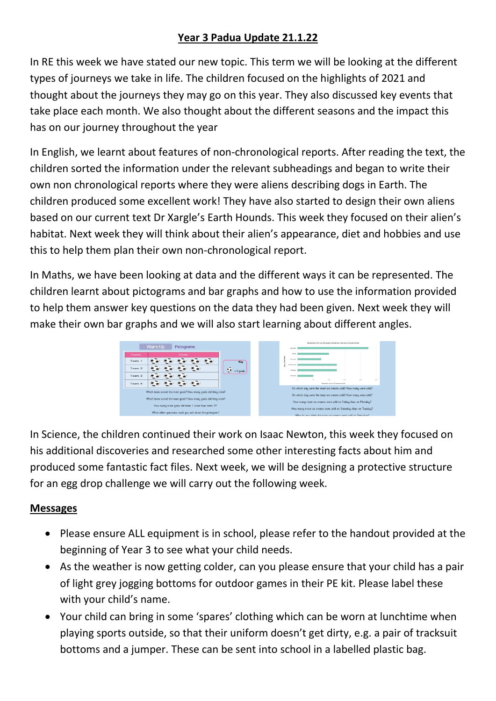## **Year 3 Padua Update 21.1.22**

In RE this week we have stated our new topic. This term we will be looking at the different types of journeys we take in life. The children focused on the highlights of 2021 and thought about the journeys they may go on this year. They also discussed key events that take place each month. We also thought about the different seasons and the impact this has on our journey throughout the year

In English, we learnt about features of non-chronological reports. After reading the text, the children sorted the information under the relevant subheadings and began to write their own non chronological reports where they were aliens describing dogs in Earth. The children produced some excellent work! They have also started to design their own aliens based on our current text Dr Xargle's Earth Hounds. This week they focused on their alien's habitat. Next week they will think about their alien's appearance, diet and hobbies and use this to help them plan their own non-chronological report.

In Maths, we have been looking at data and the different ways it can be represented. The children learnt about pictograms and bar graphs and how to use the information provided to help them answer key questions on the data they had been given. Next week they will make their own bar graphs and we will also start learning about different angles.



In Science, the children continued their work on Isaac Newton, this week they focused on his additional discoveries and researched some other interesting facts about him and produced some fantastic fact files. Next week, we will be designing a protective structure for an egg drop challenge we will carry out the following week.

## **Messages**

- Please ensure ALL equipment is in school, please refer to the handout provided at the beginning of Year 3 to see what your child needs.
- As the weather is now getting colder, can you please ensure that your child has a pair of light grey jogging bottoms for outdoor games in their PE kit. Please label these with your child's name.
- Your child can bring in some 'spares' clothing which can be worn at lunchtime when playing sports outside, so that their uniform doesn't get dirty, e.g. a pair of tracksuit bottoms and a jumper. These can be sent into school in a labelled plastic bag.